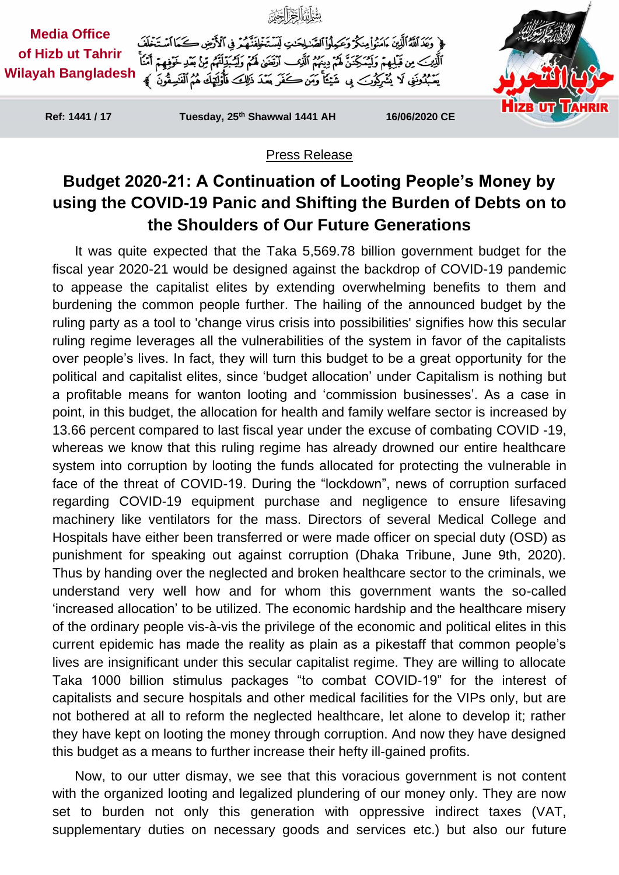

## Press Release

## **Budget 2020-21: A Continuation of Looting People's Money by using the COVID-19 Panic and Shifting the Burden of Debts on to the Shoulders of Our Future Generations**

It was quite expected that the Taka 5,569.78 billion government budget for the fiscal year 2020-21 would be designed against the backdrop of COVID-19 pandemic to appease the capitalist elites by extending overwhelming benefits to them and burdening the common people further. The hailing of the announced budget by the ruling party as a tool to 'change virus crisis into possibilities' signifies how this secular ruling regime leverages all the vulnerabilities of the system in favor of the capitalists over people's lives. In fact, they will turn this budget to be a great opportunity for the political and capitalist elites, since 'budget allocation' under Capitalism is nothing but a profitable means for wanton looting and 'commission businesses'. As a case in point, in this budget, the allocation for health and family welfare sector is increased by 13.66 percent compared to last fiscal year under the excuse of combating COVID -19, whereas we know that this ruling regime has already drowned our entire healthcare system into corruption by looting the funds allocated for protecting the vulnerable in face of the threat of COVID-19. During the "lockdown", news of corruption surfaced regarding COVID-19 equipment purchase and negligence to ensure lifesaving machinery like ventilators for the mass. Directors of several Medical College and Hospitals have either been transferred or were made officer on special duty (OSD) as punishment for speaking out against corruption (Dhaka Tribune, June 9th, 2020). Thus by handing over the neglected and broken healthcare sector to the criminals, we understand very well how and for whom this government wants the so-called 'increased allocation' to be utilized. The economic hardship and the healthcare misery of the ordinary people vis-à-vis the privilege of the economic and political elites in this current epidemic has made the reality as plain as a pikestaff that common people's lives are insignificant under this secular capitalist regime. They are willing to allocate Taka 1000 billion stimulus packages "to combat COVID-19" for the interest of capitalists and secure hospitals and other medical facilities for the VIPs only, but are not bothered at all to reform the neglected healthcare, let alone to develop it; rather they have kept on looting the money through corruption. And now they have designed this budget as a means to further increase their hefty ill-gained profits.

Now, to our utter dismay, we see that this voracious government is not content with the organized looting and legalized plundering of our money only. They are now set to burden not only this generation with oppressive indirect taxes (VAT, supplementary duties on necessary goods and services etc.) but also our future